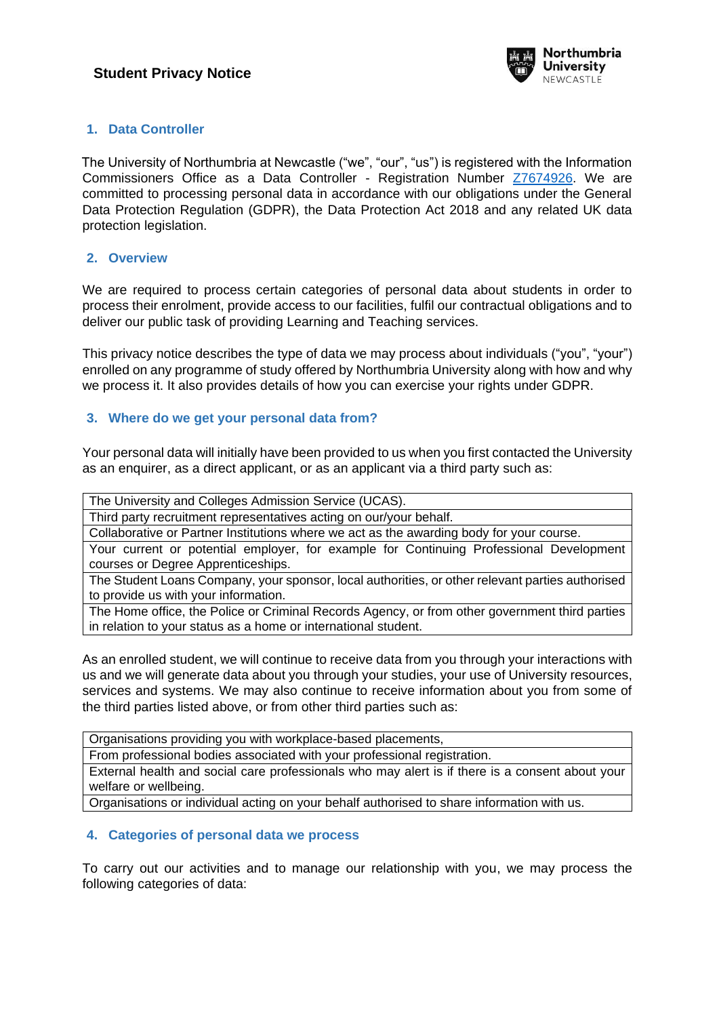

## **1. Data Controller**

The University of Northumbria at Newcastle ("we", "our", "us") is registered with the Information Commissioners Office as a Data Controller - Registration Number [Z7674926.](https://ico.org.uk/ESDWebPages/Entry/Z7674926) We are committed to processing personal data in accordance with our obligations under the General Data Protection Regulation (GDPR), the Data Protection Act 2018 and any related UK data protection legislation.

### **2. Overview**

We are required to process certain categories of personal data about students in order to process their enrolment, provide access to our facilities, fulfil our contractual obligations and to deliver our public task of providing Learning and Teaching services.

This privacy notice describes the type of data we may process about individuals ("you", "your") enrolled on any programme of study offered by Northumbria University along with how and why we process it. It also provides details of how you can exercise your rights under GDPR.

## **3. Where do we get your personal data from?**

Your personal data will initially have been provided to us when you first contacted the University as an enquirer, as a direct applicant, or as an applicant via a third party such as:

The University and Colleges Admission Service (UCAS).

Third party recruitment representatives acting on our/your behalf.

Collaborative or Partner Institutions where we act as the awarding body for your course.

Your current or potential employer, for example for Continuing Professional Development courses or Degree Apprenticeships.

The Student Loans Company, your sponsor, local authorities, or other relevant parties authorised to provide us with your information.

The Home office, the Police or Criminal Records Agency, or from other government third parties in relation to your status as a home or international student.

As an enrolled student, we will continue to receive data from you through your interactions with us and we will generate data about you through your studies, your use of University resources, services and systems. We may also continue to receive information about you from some of the third parties listed above, or from other third parties such as:

Organisations providing you with workplace-based placements,

From professional bodies associated with your professional registration.

External health and social care professionals who may alert is if there is a consent about your welfare or wellbeing.

Organisations or individual acting on your behalf authorised to share information with us.

## **4. Categories of personal data we process**

To carry out our activities and to manage our relationship with you, we may process the following categories of data: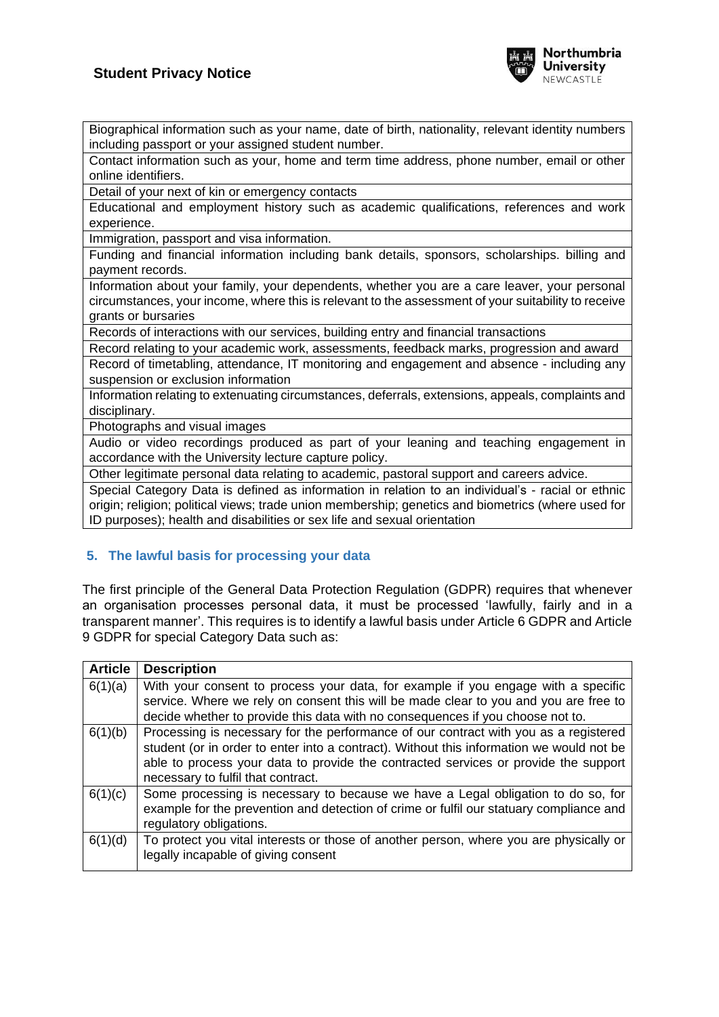

Biographical information such as your name, date of birth, nationality, relevant identity numbers including passport or your assigned student number.

Contact information such as your, home and term time address, phone number, email or other online identifiers.

Detail of your next of kin or emergency contacts

Educational and employment history such as academic qualifications, references and work experience.

Immigration, passport and visa information.

Funding and financial information including bank details, sponsors, scholarships. billing and payment records.

Information about your family, your dependents, whether you are a care leaver, your personal circumstances, your income, where this is relevant to the assessment of your suitability to receive grants or bursaries

Records of interactions with our services, building entry and financial transactions

Record relating to your academic work, assessments, feedback marks, progression and award Record of timetabling, attendance, IT monitoring and engagement and absence - including any suspension or exclusion information

Information relating to extenuating circumstances, deferrals, extensions, appeals, complaints and disciplinary.

Photographs and visual images

Audio or video recordings produced as part of your leaning and teaching engagement in accordance with the University lecture capture policy.

Other legitimate personal data relating to academic, pastoral support and careers advice.

Special Category Data is defined as information in relation to an individual's - racial or ethnic origin; religion; political views; trade union membership; genetics and biometrics (where used for ID purposes); health and disabilities or sex life and sexual orientation

## **5. The lawful basis for processing your data**

The first principle of the General Data Protection Regulation (GDPR) requires that whenever an organisation processes personal data, it must be processed 'lawfully, fairly and in a transparent manner'. This requires is to identify a lawful basis under Article 6 GDPR and Article 9 GDPR for special Category Data such as:

| <b>Article</b> | <b>Description</b>                                                                                                                                                                                                                                                                                            |
|----------------|---------------------------------------------------------------------------------------------------------------------------------------------------------------------------------------------------------------------------------------------------------------------------------------------------------------|
| 6(1)(a)        | With your consent to process your data, for example if you engage with a specific<br>service. Where we rely on consent this will be made clear to you and you are free to<br>decide whether to provide this data with no consequences if you choose not to.                                                   |
| 6(1)(b)        | Processing is necessary for the performance of our contract with you as a registered<br>student (or in order to enter into a contract). Without this information we would not be<br>able to process your data to provide the contracted services or provide the support<br>necessary to fulfil that contract. |
| 6(1)(c)        | Some processing is necessary to because we have a Legal obligation to do so, for<br>example for the prevention and detection of crime or fulfil our statuary compliance and<br>regulatory obligations.                                                                                                        |
| 6(1)(d)        | To protect you vital interests or those of another person, where you are physically or<br>legally incapable of giving consent                                                                                                                                                                                 |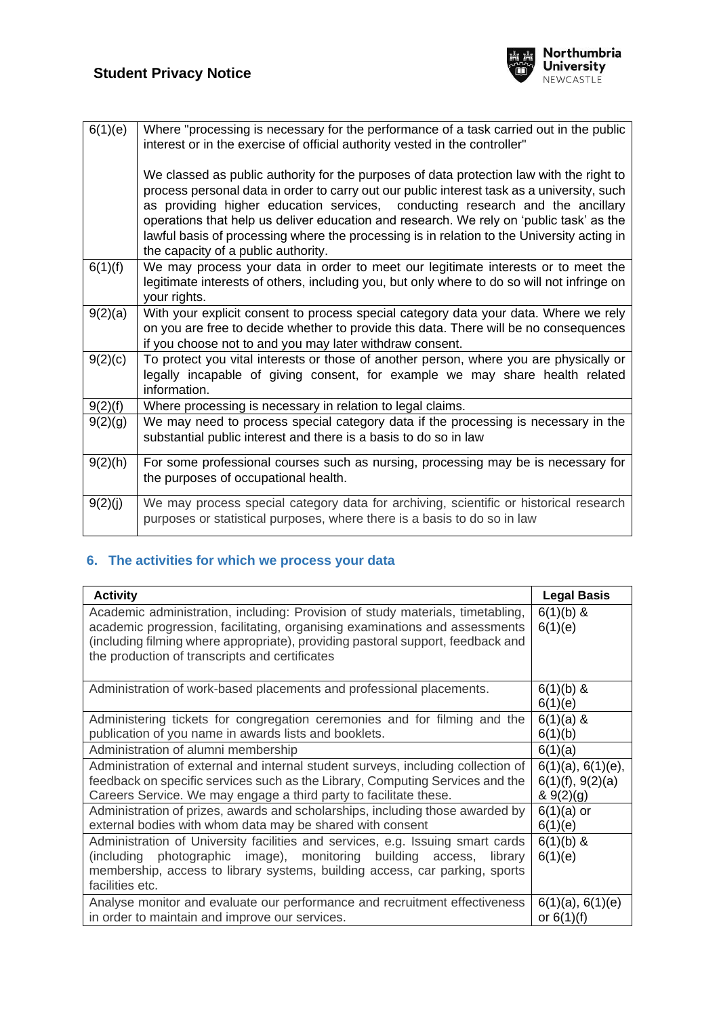

| 6(1)(e) | Where "processing is necessary for the performance of a task carried out in the public<br>interest or in the exercise of official authority vested in the controller"                                                                                                                                                                                                                                                                                                                                   |
|---------|---------------------------------------------------------------------------------------------------------------------------------------------------------------------------------------------------------------------------------------------------------------------------------------------------------------------------------------------------------------------------------------------------------------------------------------------------------------------------------------------------------|
|         | We classed as public authority for the purposes of data protection law with the right to<br>process personal data in order to carry out our public interest task as a university, such<br>as providing higher education services, conducting research and the ancillary<br>operations that help us deliver education and research. We rely on 'public task' as the<br>lawful basis of processing where the processing is in relation to the University acting in<br>the capacity of a public authority. |
| 6(1)(f) | We may process your data in order to meet our legitimate interests or to meet the<br>legitimate interests of others, including you, but only where to do so will not infringe on<br>your rights.                                                                                                                                                                                                                                                                                                        |
| 9(2)(a) | With your explicit consent to process special category data your data. Where we rely<br>on you are free to decide whether to provide this data. There will be no consequences<br>if you choose not to and you may later withdraw consent.                                                                                                                                                                                                                                                               |
| 9(2)(c) | To protect you vital interests or those of another person, where you are physically or<br>legally incapable of giving consent, for example we may share health related<br>information.                                                                                                                                                                                                                                                                                                                  |
| 9(2)(f) | Where processing is necessary in relation to legal claims.                                                                                                                                                                                                                                                                                                                                                                                                                                              |
| 9(2)(g) | We may need to process special category data if the processing is necessary in the<br>substantial public interest and there is a basis to do so in law                                                                                                                                                                                                                                                                                                                                                  |
| 9(2)(h) | For some professional courses such as nursing, processing may be is necessary for<br>the purposes of occupational health.                                                                                                                                                                                                                                                                                                                                                                               |
| 9(2)(j) | We may process special category data for archiving, scientific or historical research<br>purposes or statistical purposes, where there is a basis to do so in law                                                                                                                                                                                                                                                                                                                                       |

# **6. The activities for which we process your data**

| <b>Activity</b>                                                                                                                                                                                                                                                                                    | <b>Legal Basis</b>                                       |
|----------------------------------------------------------------------------------------------------------------------------------------------------------------------------------------------------------------------------------------------------------------------------------------------------|----------------------------------------------------------|
| Academic administration, including: Provision of study materials, timetabling,<br>academic progression, facilitating, organising examinations and assessments<br>(including filming where appropriate), providing pastoral support, feedback and<br>the production of transcripts and certificates | $6(1)(b)$ &<br>6(1)(e)                                   |
| Administration of work-based placements and professional placements.                                                                                                                                                                                                                               | $6(1)(b)$ &<br>6(1)(e)                                   |
| Administering tickets for congregation ceremonies and for filming and the<br>publication of you name in awards lists and booklets.                                                                                                                                                                 | $6(1)(a)$ &<br>6(1)(b)                                   |
| Administration of alumni membership                                                                                                                                                                                                                                                                | 6(1)(a)                                                  |
| Administration of external and internal student surveys, including collection of<br>feedback on specific services such as the Library, Computing Services and the<br>Careers Service. We may engage a third party to facilitate these.                                                             | $6(1)(a)$ , $6(1)(e)$ ,<br>6(1)(f), 9(2)(a)<br>& 9(2)(g) |
| Administration of prizes, awards and scholarships, including those awarded by<br>external bodies with whom data may be shared with consent                                                                                                                                                         | $6(1)(a)$ or<br>6(1)(e)                                  |
| Administration of University facilities and services, e.g. Issuing smart cards<br>(including photographic image), monitoring<br>building access,<br>library<br>membership, access to library systems, building access, car parking, sports<br>facilities etc.                                      | $6(1)(b)$ &<br>6(1)(e)                                   |
| Analyse monitor and evaluate our performance and recruitment effectiveness<br>in order to maintain and improve our services.                                                                                                                                                                       | 6(1)(a), 6(1)(e)<br>or $6(1)(f)$                         |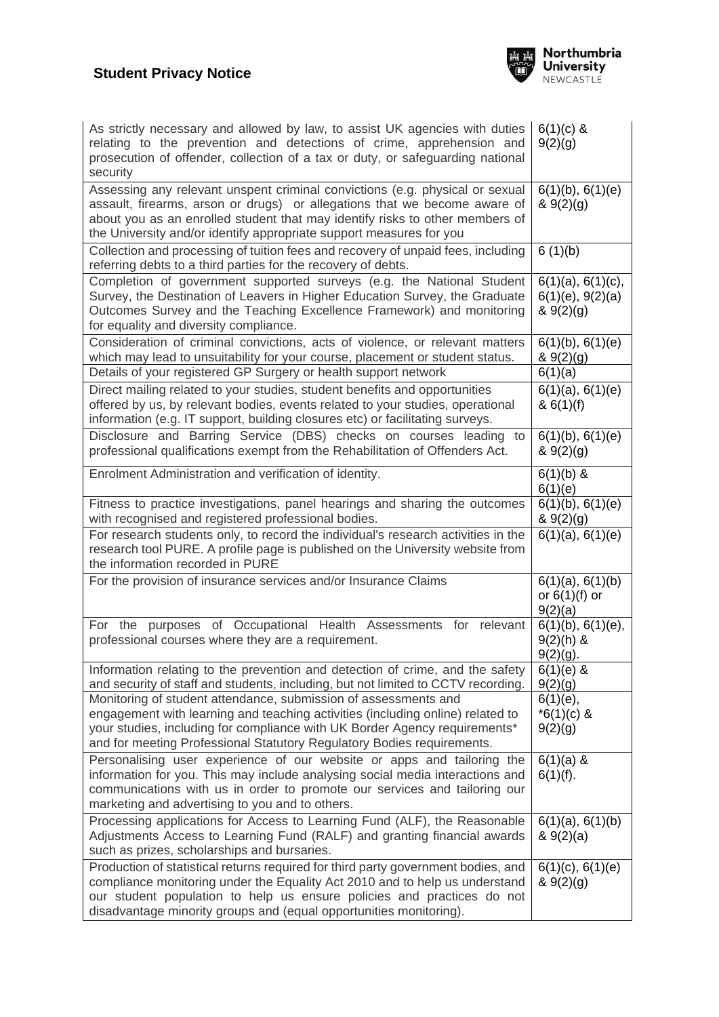

| As strictly necessary and allowed by law, to assist UK agencies with duties<br>relating to the prevention and detections of crime, apprehension and<br>prosecution of offender, collection of a tax or duty, or safeguarding national<br>security                                                                | $6(1)(c)$ &<br>9(2)(g)                             |
|------------------------------------------------------------------------------------------------------------------------------------------------------------------------------------------------------------------------------------------------------------------------------------------------------------------|----------------------------------------------------|
| Assessing any relevant unspent criminal convictions (e.g. physical or sexual<br>assault, firearms, arson or drugs) or allegations that we become aware of<br>about you as an enrolled student that may identify risks to other members of<br>the University and/or identify appropriate support measures for you | 6(1)(b), 6(1)(e)<br>& 9(2)(g)                      |
| Collection and processing of tuition fees and recovery of unpaid fees, including<br>referring debts to a third parties for the recovery of debts.                                                                                                                                                                | 6(1)(b)                                            |
| Completion of government supported surveys (e.g. the National Student<br>Survey, the Destination of Leavers in Higher Education Survey, the Graduate<br>Outcomes Survey and the Teaching Excellence Framework) and monitoring<br>for equality and diversity compliance.                                          | 6(1)(a), 6(1)(c),<br>6(1)(e), 9(2)(a)<br>& 9(2)(g) |
| Consideration of criminal convictions, acts of violence, or relevant matters<br>which may lead to unsuitability for your course, placement or student status.                                                                                                                                                    | 6(1)(b), 6(1)(e)<br>& 9(2)(9)                      |
| Details of your registered GP Surgery or health support network                                                                                                                                                                                                                                                  | 6(1)(a)                                            |
| Direct mailing related to your studies, student benefits and opportunities<br>offered by us, by relevant bodies, events related to your studies, operational<br>information (e.g. IT support, building closures etc) or facilitating surveys.                                                                    | 6(1)(a), 6(1)(e)<br>& 6(1)(f)                      |
| Disclosure and Barring Service (DBS) checks on courses leading<br>to<br>professional qualifications exempt from the Rehabilitation of Offenders Act.                                                                                                                                                             | $6(1)(b)$ , $6(1)(e)$<br>& 9(2)(g)                 |
| Enrolment Administration and verification of identity.                                                                                                                                                                                                                                                           | $6(1)(b)$ &<br>6(1)(e)                             |
| Fitness to practice investigations, panel hearings and sharing the outcomes<br>with recognised and registered professional bodies.                                                                                                                                                                               | 6(1)(b), 6(1)(e)<br>& 9(2)(g)                      |
| For research students only, to record the individual's research activities in the<br>research tool PURE. A profile page is published on the University website from<br>the information recorded in PURE                                                                                                          | 6(1)(a), 6(1)(e)                                   |
| For the provision of insurance services and/or Insurance Claims                                                                                                                                                                                                                                                  | 6(1)(a), 6(1)(b)<br>or $6(1)(f)$ or<br>9(2)(a)     |
| purposes of Occupational Health Assessments<br>For the<br>for<br>relevant<br>professional courses where they are a requirement.                                                                                                                                                                                  | $6(1)(b)$ , $6(1)(e)$ ,<br>$9(2)(h)$ &<br>9(2)(q)  |
| Information relating to the prevention and detection of crime, and the safety<br>and security of staff and students, including, but not limited to CCTV recording.                                                                                                                                               | $6(1)(e)$ &<br>9(2)(g)                             |
| Monitoring of student attendance, submission of assessments and<br>engagement with learning and teaching activities (including online) related to<br>your studies, including for compliance with UK Border Agency requirements*<br>and for meeting Professional Statutory Regulatory Bodies requirements.        | $6(1)(e)$ ,<br>$*6(1)(c)$ &<br>9(2)(g)             |
| Personalising user experience of our website or apps and tailoring the<br>information for you. This may include analysing social media interactions and<br>communications with us in order to promote our services and tailoring our<br>marketing and advertising to you and to others.                          | $6(1)(a)$ &<br>$6(1)(f)$ .                         |
| Processing applications for Access to Learning Fund (ALF), the Reasonable<br>Adjustments Access to Learning Fund (RALF) and granting financial awards<br>such as prizes, scholarships and bursaries.                                                                                                             | $6(1)(a)$ , $6(1)(b)$<br>& 9(2)(a)                 |
| Production of statistical returns required for third party government bodies, and<br>compliance monitoring under the Equality Act 2010 and to help us understand<br>our student population to help us ensure policies and practices do not<br>disadvantage minority groups and (equal opportunities monitoring). | 6(1)(c), 6(1)(e)<br>& 9(2)(g)                      |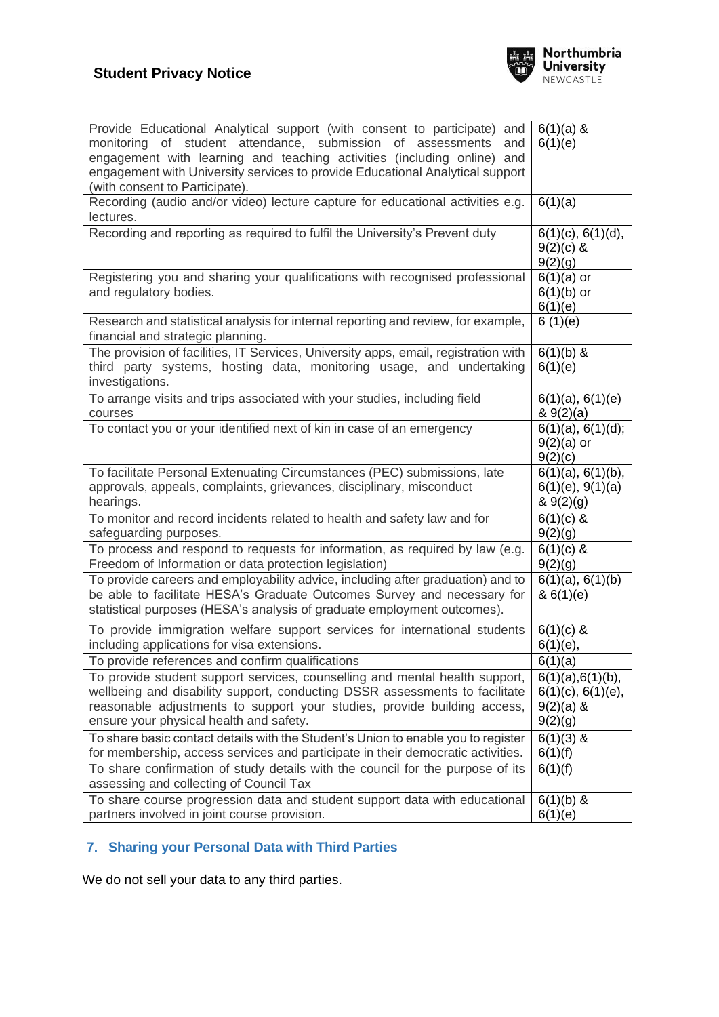# **Student Privacy Notice**



| Provide Educational Analytical support (with consent to participate) and<br>monitoring of student attendance, submission of assessments<br>and<br>engagement with learning and teaching activities (including online) and<br>engagement with University services to provide Educational Analytical support<br>(with consent to Participate). | $6(1)(a)$ &<br>6(1)(e)                                                       |
|----------------------------------------------------------------------------------------------------------------------------------------------------------------------------------------------------------------------------------------------------------------------------------------------------------------------------------------------|------------------------------------------------------------------------------|
| Recording (audio and/or video) lecture capture for educational activities e.g.<br>lectures.                                                                                                                                                                                                                                                  | 6(1)(a)                                                                      |
| Recording and reporting as required to fulfil the University's Prevent duty                                                                                                                                                                                                                                                                  | 6(1)(c), 6(1)(d),<br>$9(2)(c)$ &<br>9(2)(g)                                  |
| Registering you and sharing your qualifications with recognised professional<br>and regulatory bodies.                                                                                                                                                                                                                                       | $6(1)(a)$ or<br>$6(1)(b)$ or<br>6(1)(e)                                      |
| Research and statistical analysis for internal reporting and review, for example,<br>financial and strategic planning.                                                                                                                                                                                                                       | 6(1)(e)                                                                      |
| The provision of facilities, IT Services, University apps, email, registration with<br>third party systems, hosting data, monitoring usage, and undertaking<br>investigations.                                                                                                                                                               | $6(1)(b)$ &<br>6(1)(e)                                                       |
| To arrange visits and trips associated with your studies, including field<br>courses                                                                                                                                                                                                                                                         | 6(1)(a), 6(1)(e)<br>8.9(2)(a)                                                |
| To contact you or your identified next of kin in case of an emergency                                                                                                                                                                                                                                                                        | 6(1)(a), 6(1)(d);<br>$9(2)(a)$ or<br>9(2)(c)                                 |
| To facilitate Personal Extenuating Circumstances (PEC) submissions, late<br>approvals, appeals, complaints, grievances, disciplinary, misconduct<br>hearings.                                                                                                                                                                                | 6(1)(a), 6(1)(b),<br>6(1)(e), 9(1)(a)<br>& 9(2)(g)                           |
| To monitor and record incidents related to health and safety law and for<br>safeguarding purposes.                                                                                                                                                                                                                                           | $6(1)(c)$ &<br>9(2)(g)                                                       |
| To process and respond to requests for information, as required by law (e.g.<br>Freedom of Information or data protection legislation)                                                                                                                                                                                                       | $6(1)(c)$ &<br>9(2)(g)                                                       |
| To provide careers and employability advice, including after graduation) and to<br>be able to facilitate HESA's Graduate Outcomes Survey and necessary for<br>statistical purposes (HESA's analysis of graduate employment outcomes).                                                                                                        | 6(1)(a), 6(1)(b)<br>& 6(1)(e)                                                |
| To provide immigration welfare support services for international students<br>including applications for visa extensions.                                                                                                                                                                                                                    | $6(1)(c)$ &<br>$6(1)(e)$ ,                                                   |
| To provide references and confirm qualifications                                                                                                                                                                                                                                                                                             | $\frac{6(1)(a)}{b}$                                                          |
| To provide student support services, counselling and mental health support,<br>wellbeing and disability support, conducting DSSR assessments to facilitate<br>reasonable adjustments to support your studies, provide building access,<br>ensure your physical health and safety.                                                            | $6(1)(a)$ , $6(1)(b)$ ,<br>$6(1)(c)$ , $6(1)(e)$ ,<br>$9(2)(a)$ &<br>9(2)(g) |
| To share basic contact details with the Student's Union to enable you to register<br>for membership, access services and participate in their democratic activities.                                                                                                                                                                         | $6(1)(3)$ &<br>6(1)(f)                                                       |
| To share confirmation of study details with the council for the purpose of its<br>assessing and collecting of Council Tax                                                                                                                                                                                                                    | 6(1)(f)                                                                      |
| To share course progression data and student support data with educational<br>partners involved in joint course provision.                                                                                                                                                                                                                   | $6(1)(b)$ &<br>6(1)(e)                                                       |

# **7. Sharing your Personal Data with Third Parties**

We do not sell your data to any third parties.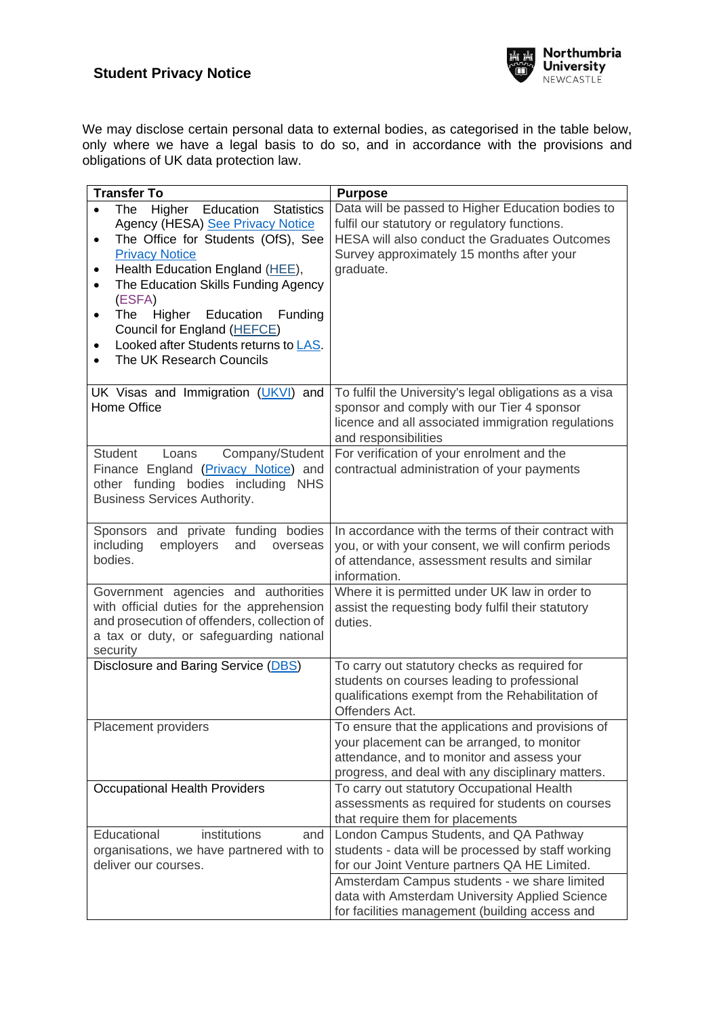

We may disclose certain personal data to external bodies, as categorised in the table below, only where we have a legal basis to do so, and in accordance with the provisions and obligations of UK data protection law.

| <b>Transfer To</b>                                                                                                                                                                                                                                                                                                                                                                                                        | <b>Purpose</b>                                                                                                                                                                                                |  |
|---------------------------------------------------------------------------------------------------------------------------------------------------------------------------------------------------------------------------------------------------------------------------------------------------------------------------------------------------------------------------------------------------------------------------|---------------------------------------------------------------------------------------------------------------------------------------------------------------------------------------------------------------|--|
| Higher Education<br>The<br><b>Statistics</b><br>Agency (HESA) See Privacy Notice<br>The Office for Students (OfS), See<br>$\bullet$<br><b>Privacy Notice</b><br>Health Education England (HEE),<br>٠<br>The Education Skills Funding Agency<br>$\bullet$<br>(ESFA)<br>Higher<br>Education<br>Funding<br>The<br>٠<br>Council for England (HEFCE)<br>Looked after Students returns to LAS.<br>٠<br>The UK Research Councils | Data will be passed to Higher Education bodies to<br>fulfil our statutory or regulatory functions.<br>HESA will also conduct the Graduates Outcomes<br>Survey approximately 15 months after your<br>graduate. |  |
| UK Visas and Immigration (UKVI) and<br>Home Office                                                                                                                                                                                                                                                                                                                                                                        | To fulfil the University's legal obligations as a visa<br>sponsor and comply with our Tier 4 sponsor<br>licence and all associated immigration regulations<br>and responsibilities                            |  |
| <b>Student</b><br>Company/Student<br>Loans<br>Finance England (Privacy Notice) and<br>other funding bodies including<br><b>NHS</b><br><b>Business Services Authority.</b>                                                                                                                                                                                                                                                 | For verification of your enrolment and the<br>contractual administration of your payments                                                                                                                     |  |
| Sponsors and private funding bodies<br>including<br>employers<br>and<br>overseas<br>bodies.                                                                                                                                                                                                                                                                                                                               | In accordance with the terms of their contract with<br>you, or with your consent, we will confirm periods<br>of attendance, assessment results and similar<br>information.                                    |  |
| Government agencies and authorities<br>with official duties for the apprehension<br>and prosecution of offenders, collection of<br>a tax or duty, or safeguarding national<br>security                                                                                                                                                                                                                                    | Where it is permitted under UK law in order to<br>assist the requesting body fulfil their statutory<br>duties.                                                                                                |  |
| Disclosure and Baring Service (DBS)                                                                                                                                                                                                                                                                                                                                                                                       | To carry out statutory checks as required for<br>students on courses leading to professional<br>qualifications exempt from the Rehabilitation of<br>Offenders Act.                                            |  |
| Placement providers                                                                                                                                                                                                                                                                                                                                                                                                       | To ensure that the applications and provisions of<br>your placement can be arranged, to monitor<br>attendance, and to monitor and assess your<br>progress, and deal with any disciplinary matters.            |  |
| Occupational Health Providers                                                                                                                                                                                                                                                                                                                                                                                             | To carry out statutory Occupational Health<br>assessments as required for students on courses<br>that require them for placements                                                                             |  |
| Educational<br>institutions<br>and<br>organisations, we have partnered with to<br>deliver our courses.                                                                                                                                                                                                                                                                                                                    | London Campus Students, and QA Pathway<br>students - data will be processed by staff working<br>for our Joint Venture partners QA HE Limited.                                                                 |  |
|                                                                                                                                                                                                                                                                                                                                                                                                                           | Amsterdam Campus students - we share limited<br>data with Amsterdam University Applied Science<br>for facilities management (building access and                                                              |  |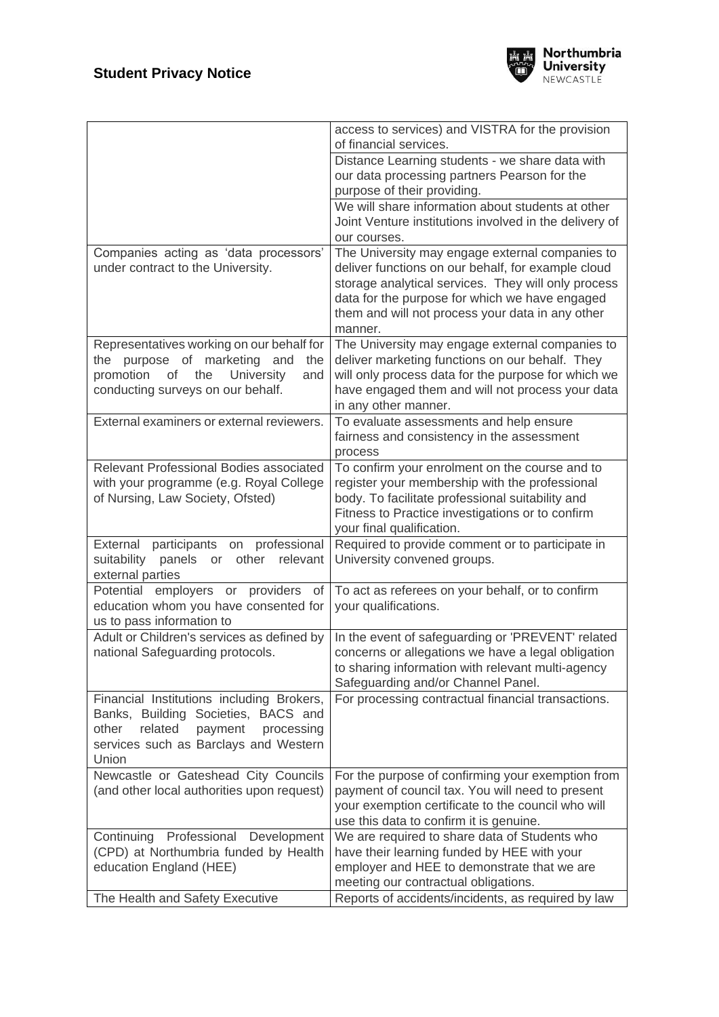

|                                                                                                                                                                                 | access to services) and VISTRA for the provision<br>of financial services.                                                                                                                                                                                                    |
|---------------------------------------------------------------------------------------------------------------------------------------------------------------------------------|-------------------------------------------------------------------------------------------------------------------------------------------------------------------------------------------------------------------------------------------------------------------------------|
|                                                                                                                                                                                 | Distance Learning students - we share data with<br>our data processing partners Pearson for the<br>purpose of their providing.                                                                                                                                                |
|                                                                                                                                                                                 | We will share information about students at other<br>Joint Venture institutions involved in the delivery of<br>our courses.                                                                                                                                                   |
| Companies acting as 'data processors'<br>under contract to the University.                                                                                                      | The University may engage external companies to<br>deliver functions on our behalf, for example cloud<br>storage analytical services. They will only process<br>data for the purpose for which we have engaged<br>them and will not process your data in any other<br>manner. |
| Representatives working on our behalf for<br>the purpose of marketing<br>and<br>the<br>promotion<br>the<br>University<br>of<br>and<br>conducting surveys on our behalf.         | The University may engage external companies to<br>deliver marketing functions on our behalf. They<br>will only process data for the purpose for which we<br>have engaged them and will not process your data<br>in any other manner.                                         |
| External examiners or external reviewers.                                                                                                                                       | To evaluate assessments and help ensure<br>fairness and consistency in the assessment<br>process                                                                                                                                                                              |
| Relevant Professional Bodies associated<br>with your programme (e.g. Royal College<br>of Nursing, Law Society, Ofsted)                                                          | To confirm your enrolment on the course and to<br>register your membership with the professional<br>body. To facilitate professional suitability and<br>Fitness to Practice investigations or to confirm<br>your final qualification.                                         |
| participants on professional<br>External<br>suitability panels<br>relevant<br>or other<br>external parties                                                                      | Required to provide comment or to participate in<br>University convened groups.                                                                                                                                                                                               |
| Potential employers or providers of<br>education whom you have consented for<br>us to pass information to                                                                       | To act as referees on your behalf, or to confirm<br>your qualifications.                                                                                                                                                                                                      |
| Adult or Children's services as defined by<br>national Safeguarding protocols.                                                                                                  | In the event of safeguarding or 'PREVENT' related<br>concerns or allegations we have a legal obligation<br>to sharing information with relevant multi-agency<br>Safeguarding and/or Channel Panel.                                                                            |
| Financial Institutions including Brokers,<br>Banks, Building Societies, BACS and<br>other<br>related<br>payment<br>processing<br>services such as Barclays and Western<br>Union | For processing contractual financial transactions.                                                                                                                                                                                                                            |
| Newcastle or Gateshead City Councils<br>(and other local authorities upon request)                                                                                              | For the purpose of confirming your exemption from<br>payment of council tax. You will need to present<br>your exemption certificate to the council who will<br>use this data to confirm it is genuine.                                                                        |
| Continuing Professional Development<br>(CPD) at Northumbria funded by Health<br>education England (HEE)                                                                         | We are required to share data of Students who<br>have their learning funded by HEE with your<br>employer and HEE to demonstrate that we are<br>meeting our contractual obligations.                                                                                           |
| The Health and Safety Executive                                                                                                                                                 | Reports of accidents/incidents, as required by law                                                                                                                                                                                                                            |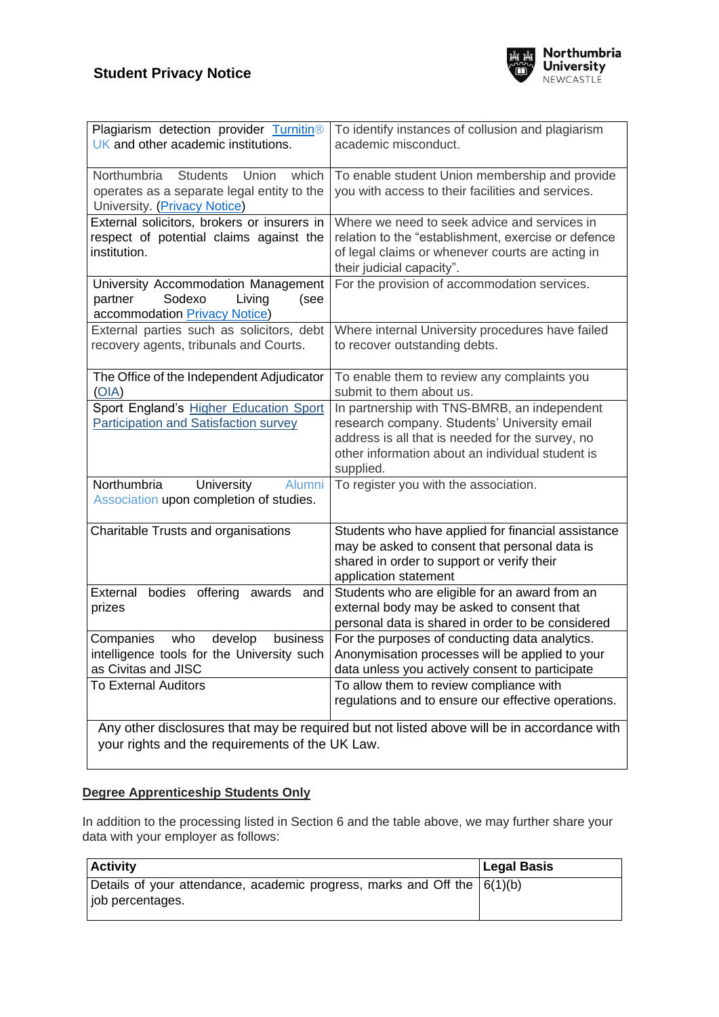

| Plagiarism detection provider Turnitin®<br>UK and other academic institutions.                                                 | To identify instances of collusion and plagiarism<br>academic misconduct.                                                                                                                                         |  |
|--------------------------------------------------------------------------------------------------------------------------------|-------------------------------------------------------------------------------------------------------------------------------------------------------------------------------------------------------------------|--|
| Northumbria<br><b>Students</b><br>Union<br>which<br>operates as a separate legal entity to the<br>University. (Privacy Notice) | To enable student Union membership and provide<br>you with access to their facilities and services.                                                                                                               |  |
| External solicitors, brokers or insurers in<br>respect of potential claims against the<br>institution.                         | Where we need to seek advice and services in<br>relation to the "establishment, exercise or defence<br>of legal claims or whenever courts are acting in<br>their judicial capacity".                              |  |
| University Accommodation Management<br>Sodexo<br>partner<br>Living<br>(see<br>accommodation Privacy Notice)                    | For the provision of accommodation services.                                                                                                                                                                      |  |
| External parties such as solicitors, debt<br>recovery agents, tribunals and Courts.                                            | Where internal University procedures have failed<br>to recover outstanding debts.                                                                                                                                 |  |
| The Office of the Independent Adjudicator<br>(OIA)                                                                             | To enable them to review any complaints you<br>submit to them about us.                                                                                                                                           |  |
| Sport England's Higher Education Sport<br>Participation and Satisfaction survey                                                | In partnership with TNS-BMRB, an independent<br>research company. Students' University email<br>address is all that is needed for the survey, no<br>other information about an individual student is<br>supplied. |  |
| Northumbria<br>University<br>Alumni<br>Association upon completion of studies.                                                 | To register you with the association.                                                                                                                                                                             |  |
| Charitable Trusts and organisations                                                                                            | Students who have applied for financial assistance<br>may be asked to consent that personal data is<br>shared in order to support or verify their<br>application statement                                        |  |
| External bodies offering awards and<br>prizes                                                                                  | Students who are eligible for an award from an<br>external body may be asked to consent that<br>personal data is shared in order to be considered                                                                 |  |
| who<br>develop<br>Companies<br>business<br>intelligence tools for the University such<br>as Civitas and JISC                   | For the purposes of conducting data analytics.<br>Anonymisation processes will be applied to your<br>data unless you actively consent to participate                                                              |  |
| <b>To External Auditors</b>                                                                                                    | To allow them to review compliance with<br>regulations and to ensure our effective operations.                                                                                                                    |  |
| your rights and the requirements of the UK Law.                                                                                | Any other disclosures that may be required but not listed above will be in accordance with                                                                                                                        |  |

## **Degree Apprenticeship Students Only**

In addition to the processing listed in Section 6 and the table above, we may further share your data with your employer as follows:

| <b>Activity</b>                                                                                  | Legal Basis |
|--------------------------------------------------------------------------------------------------|-------------|
| Details of your attendance, academic progress, marks and Off the $(6(1)(b))$<br>job percentages. |             |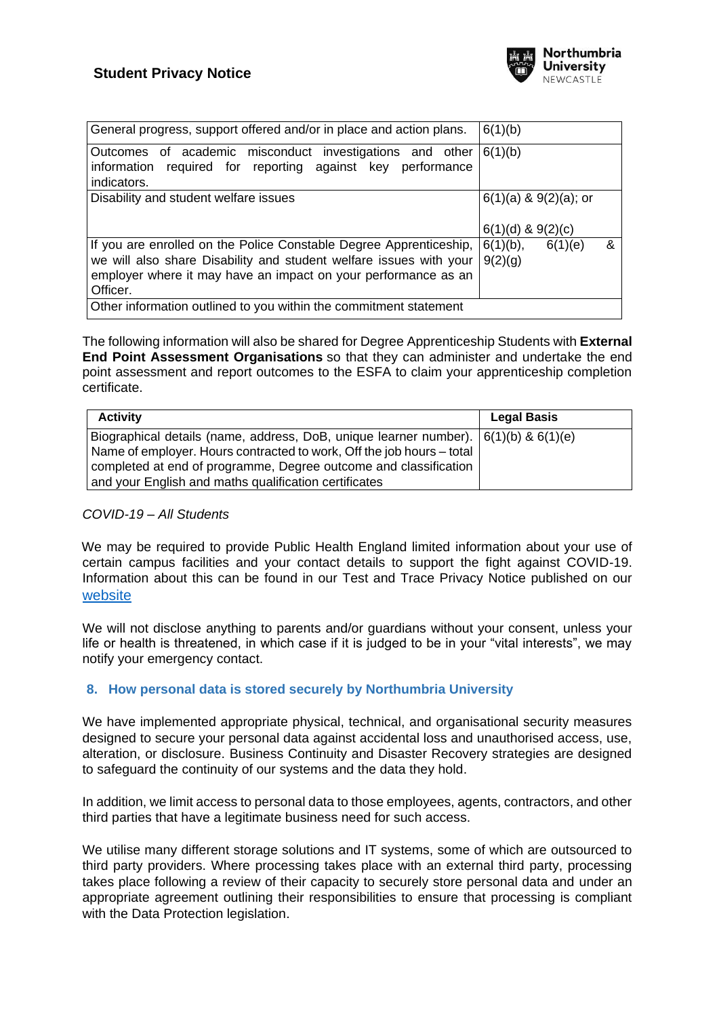

| General progress, support offered and/or in place and action plans.                                                                                                                                                    | 6(1)(b)                                             |   |
|------------------------------------------------------------------------------------------------------------------------------------------------------------------------------------------------------------------------|-----------------------------------------------------|---|
| Outcomes of academic misconduct investigations and other<br>required for reporting against key performance<br>information<br>indicators.                                                                               | 6(1)(b)                                             |   |
| Disability and student welfare issues                                                                                                                                                                                  | $6(1)(a)$ & $9(2)(a)$ ; or<br>$6(1)(d)$ & $9(2)(c)$ |   |
| If you are enrolled on the Police Constable Degree Apprenticeship,<br>we will also share Disability and student welfare issues with your<br>employer where it may have an impact on your performance as an<br>Officer. | $6(1)(b)$ ,<br>6(1)(e)<br>9(2)(g)                   | ጼ |
| Other information outlined to you within the commitment statement                                                                                                                                                      |                                                     |   |

The following information will also be shared for Degree Apprenticeship Students with **External End Point Assessment Organisations** so that they can administer and undertake the end point assessment and report outcomes to the ESFA to claim your apprenticeship completion certificate.

| <b>Activity</b>                                                                         | Legal Basis |
|-----------------------------------------------------------------------------------------|-------------|
| Biographical details (name, address, DoB, unique learner number). $(6(1)(b) \& 6(1)(e)$ |             |
| Name of employer. Hours contracted to work, Off the job hours – total                   |             |
| completed at end of programme, Degree outcome and classification                        |             |
| and your English and maths qualification certificates                                   |             |

#### *COVID-19 – All Students*

We may be required to provide Public Health England limited information about your use of certain campus facilities and your contact details to support the fight against COVID-19. Information about this can be found in our Test and Trace Privacy Notice published on our [website](https://www.northumbria.ac.uk/about-us/leadership-governance/vice-chancellors-office/legal-services-team/gdpr/gdpr---privacy-notices/) 

We will not disclose anything to parents and/or guardians without your consent, unless your life or health is threatened, in which case if it is judged to be in your "vital interests", we may notify your emergency contact.

## **8. How personal data is stored securely by Northumbria University**

We have implemented appropriate physical, technical, and organisational security measures designed to secure your personal data against accidental loss and unauthorised access, use, alteration, or disclosure. Business Continuity and Disaster Recovery strategies are designed to safeguard the continuity of our systems and the data they hold.

In addition, we limit access to personal data to those employees, agents, contractors, and other third parties that have a legitimate business need for such access.

We utilise many different storage solutions and IT systems, some of which are outsourced to third party providers. Where processing takes place with an external third party, processing takes place following a review of their capacity to securely store personal data and under an appropriate agreement outlining their responsibilities to ensure that processing is compliant with the Data Protection legislation.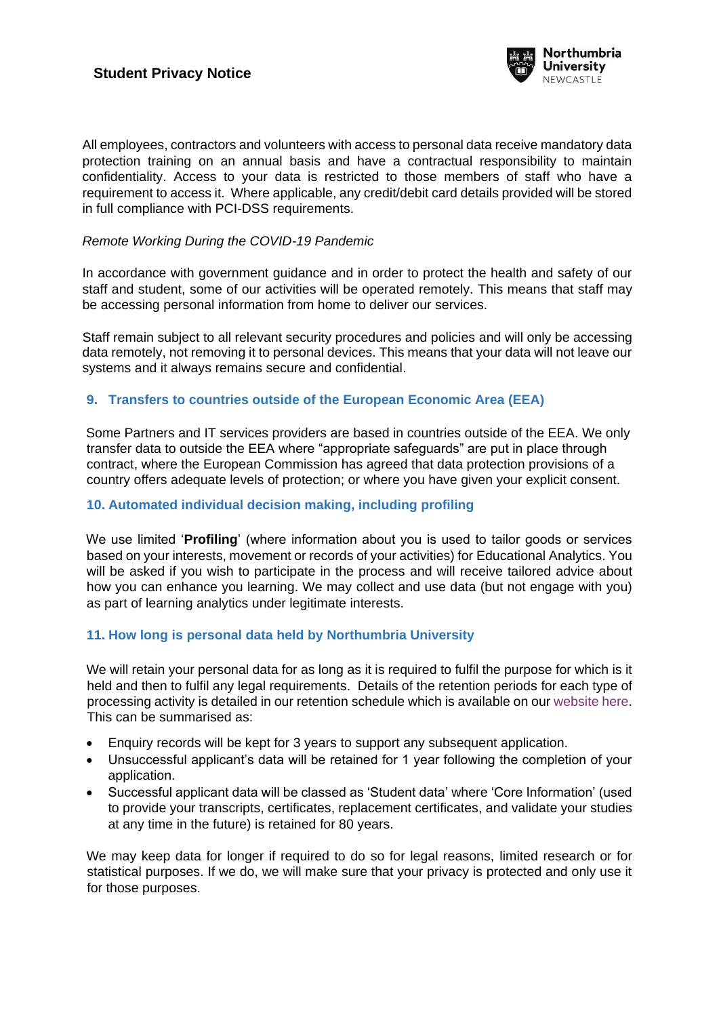

All employees, contractors and volunteers with access to personal data receive mandatory data protection training on an annual basis and have a contractual responsibility to maintain confidentiality. Access to your data is restricted to those members of staff who have a requirement to access it. Where applicable, any credit/debit card details provided will be stored in full compliance with PCI-DSS requirements.

### *Remote Working During the COVID-19 Pandemic*

In accordance with government guidance and in order to protect the health and safety of our staff and student, some of our activities will be operated remotely. This means that staff may be accessing personal information from home to deliver our services.

Staff remain subject to all relevant security procedures and policies and will only be accessing data remotely, not removing it to personal devices. This means that your data will not leave our systems and it always remains secure and confidential.

## **9. Transfers to countries outside of the European Economic Area (EEA)**

Some Partners and IT services providers are based in countries outside of the EEA. We only transfer data to outside the EEA where "appropriate safeguards" are put in place through contract, where the European Commission has agreed that data protection provisions of a country offers adequate levels of protection; or where you have given your explicit consent.

## **10. Automated individual decision making, including profiling**

We use limited '**Profiling**' (where information about you is used to tailor goods or services based on your interests, movement or records of your activities) for Educational Analytics. You will be asked if you wish to participate in the process and will receive tailored advice about how you can enhance you learning. We may collect and use data (but not engage with you) as part of learning analytics under legitimate interests.

## **11. How long is personal data held by Northumbria University**

We will retain your personal data for as long as it is required to fulfil the purpose for which is it held and then to fulfil any legal requirements. Details of the retention periods for each type of processing activity is detailed in our retention schedule which is available on our [website here.](https://www.northumbria.ac.uk/about-us/leadership-governance/vice-chancellors-office/legal-services-team/records-management/records-retention-schedule/) This can be summarised as:

- Enquiry records will be kept for 3 years to support any subsequent application.
- Unsuccessful applicant's data will be retained for 1 year following the completion of your application.
- Successful applicant data will be classed as 'Student data' where 'Core Information' (used to provide your transcripts, certificates, replacement certificates, and validate your studies at any time in the future) is retained for 80 years.

We may keep data for longer if required to do so for legal reasons, limited research or for statistical purposes. If we do, we will make sure that your privacy is protected and only use it for those purposes.